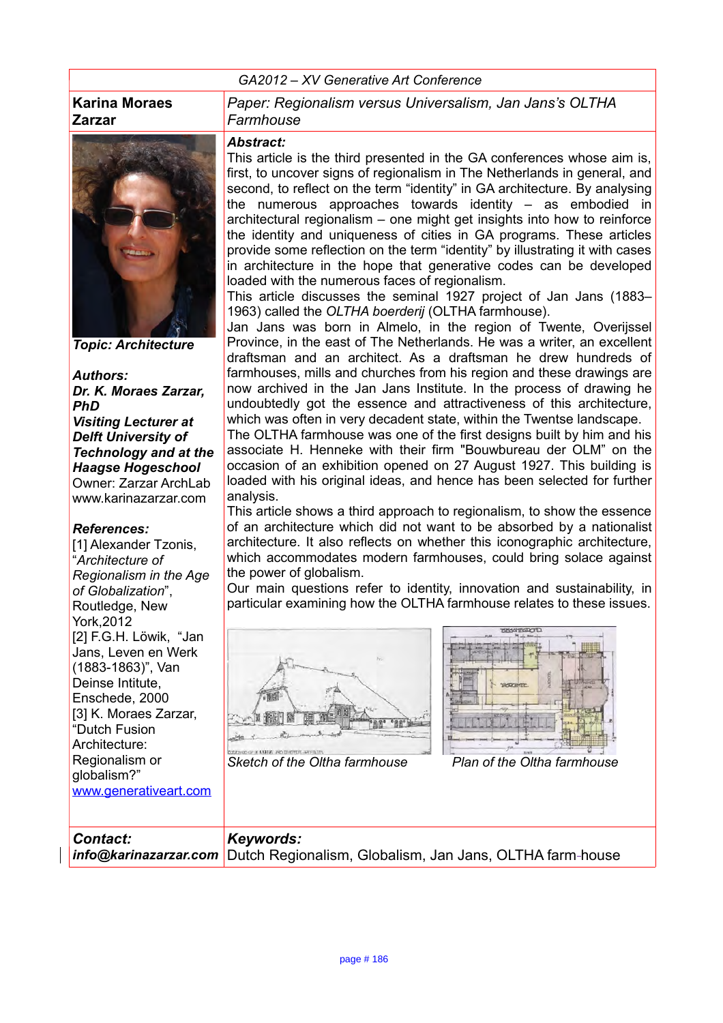### *GA2012 – XV Generative Art Conference*

### **Karina Moraes Zarzar**



*Topic: Architecture*

#### *Authors:*

*Dr. K. Moraes Zarzar, PhD Visiting Lecturer at Delft University of Technology and at the Haagse Hogeschool* Owner: Zarzar ArchLab www.karinazarzar.com

#### *References:*

[1] Alexander Tzonis, "*Architecture of Regionalism in the Age of Globalization*", Routledge, New York,2012 [2] F.G.H. Löwik, "Jan Jans, Leven en Werk (1883-1863)", Van Deinse Intitute, Enschede, 2000 [3] K. Moraes Zarzar, "Dutch Fusion Architecture: Regionalism or globalism?" [www.generativeart.com](http://www.generativeart.com/) *Paper: Regionalism versus Universalism, Jan Jans's OLTHA Farmhouse*

#### *Abstract:*

This article is the third presented in the GA conferences whose aim is, first, to uncover signs of regionalism in The Netherlands in general, and second, to reflect on the term "identity" in GA architecture. By analysing the numerous approaches towards identity – as embodied in architectural regionalism – one might get insights into how to reinforce the identity and uniqueness of cities in GA programs. These articles provide some reflection on the term "identity" by illustrating it with cases in architecture in the hope that generative codes can be developed loaded with the numerous faces of regionalism.

This article discusses the seminal 1927 project of Jan Jans (1883– 1963) called the *OLTHA boerderij* (OLTHA farmhouse).

Jan Jans was born in Almelo, in the region of Twente, Overijssel Province, in the east of The Netherlands. He was a writer, an excellent draftsman and an architect. As a draftsman he drew hundreds of farmhouses, mills and churches from his region and these drawings are now archived in the Jan Jans Institute. In the process of drawing he undoubtedly got the essence and attractiveness of this architecture, which was often in very decadent state, within the Twentse landscape.

The OLTHA farmhouse was one of the first designs built by him and his associate H. Henneke with their firm "Bouwbureau der OLM" on the occasion of an exhibition opened on 27 August 1927. This building is loaded with his original ideas, and hence has been selected for further analysis.

This article shows a third approach to regionalism, to show the essence of an architecture which did not want to be absorbed by a nationalist architecture. It also reflects on whether this iconographic architecture, which accommodates modern farmhouses, could bring solace against the power of globalism.

Our main questions refer to identity, innovation and sustainability, in particular examining how the OLTHA farmhouse relates to these issues.





*Sketch of the Oltha farmhouse Plan of the Oltha farmhouse*

| <b>Contact:</b> | Keywords:                                                                      |
|-----------------|--------------------------------------------------------------------------------|
|                 | info@karinazarzar.com Dutch Regionalism, Globalism, Jan Jans, OLTHA farm-house |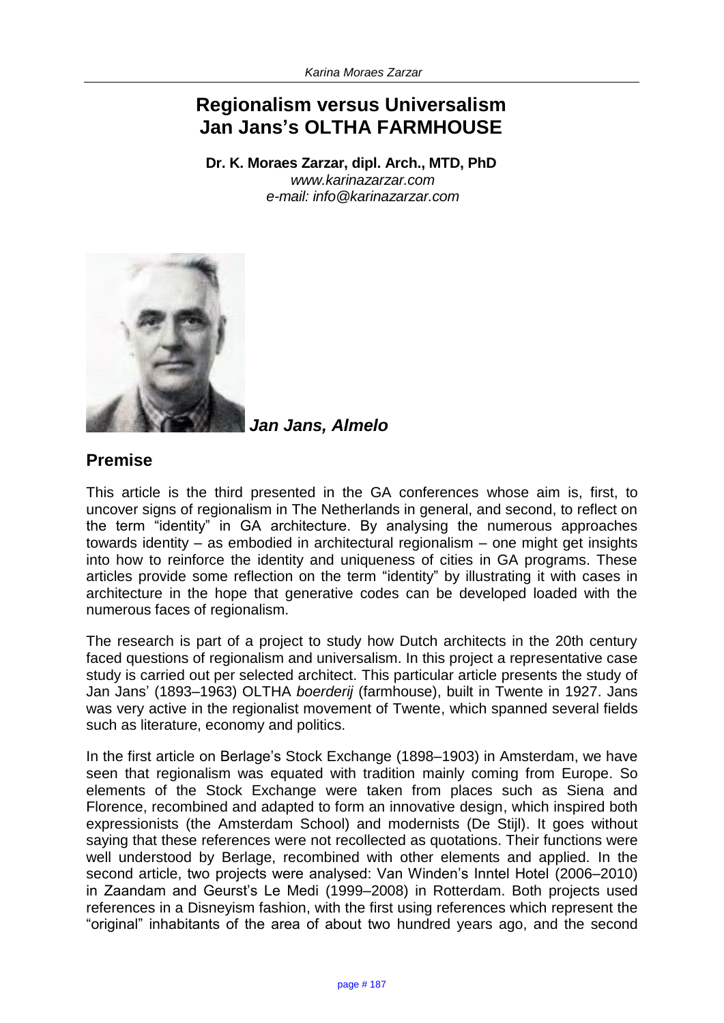# **Regionalism versus Universalism Jan Jans's OLTHA FARMHOUSE**

**Dr. K. Moraes Zarzar, dipl. Arch., MTD, PhD**  *www.karinazarzar.com e-mail: [info@karinazarzar.com](mailto:info@karinazarzar.com)*



*Jan Jans, Almelo*

## **Premise**

This article is the third presented in the GA conferences whose aim is, first, to uncover signs of regionalism in The Netherlands in general, and second, to reflect on the term "identity" in GA architecture. By analysing the numerous approaches towards identity – as embodied in architectural regionalism – one might get insights into how to reinforce the identity and uniqueness of cities in GA programs. These articles provide some reflection on the term "identity" by illustrating it with cases in architecture in the hope that generative codes can be developed loaded with the numerous faces of regionalism.

The research is part of a project to study how Dutch architects in the 20th century faced questions of regionalism and universalism. In this project a representative case study is carried out per selected architect. This particular article presents the study of Jan Jans' (1893–1963) OLTHA *boerderij* (farmhouse), built in Twente in 1927. Jans was very active in the regionalist movement of Twente, which spanned several fields such as literature, economy and politics.

In the first article on Berlage's Stock Exchange (1898–1903) in Amsterdam, we have seen that regionalism was equated with tradition mainly coming from Europe. So elements of the Stock Exchange were taken from places such as Siena and Florence, recombined and adapted to form an innovative design, which inspired both expressionists (the Amsterdam School) and modernists (De Stijl). It goes without saying that these references were not recollected as quotations. Their functions were well understood by Berlage, recombined with other elements and applied. In the second article, two projects were analysed: Van Winden's Inntel Hotel (2006–2010) in Zaandam and Geurst's Le Medi (1999–2008) in Rotterdam. Both projects used references in a Disneyism fashion, with the first using references which represent the "original" inhabitants of the area of about two hundred years ago, and the second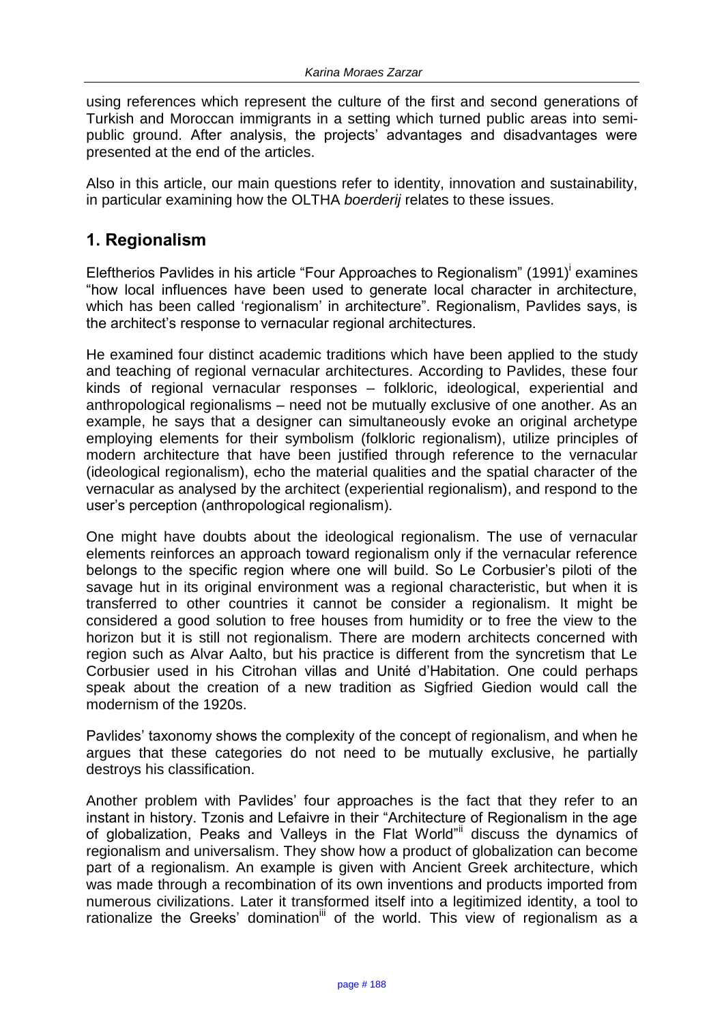using references which represent the culture of the first and second generations of Turkish and Moroccan immigrants in a setting which turned public areas into semipublic ground. After analysis, the projects' advantages and disadvantages were presented at the end of the articles.

Also in this article, our main questions refer to identity, innovation and sustainability, in particular examining how the OLTHA *boerderij* relates to these issues.

# **1. Regionalism**

Eleftherios Pavlides in his article "Four Approaches to Regionalism" (1991)<sup>i</sup> examines "how local influences have been used to generate local character in architecture, which has been called 'regionalism' in architecture". Regionalism, Pavlides says, is the architect's response to vernacular regional architectures.

He examined four distinct academic traditions which have been applied to the study and teaching of regional vernacular architectures. According to Pavlides, these four kinds of regional vernacular responses – folkloric, ideological, experiential and anthropological regionalisms – need not be mutually exclusive of one another. As an example, he says that a designer can simultaneously evoke an original archetype employing elements for their symbolism (folkloric regionalism), utilize principles of modern architecture that have been justified through reference to the vernacular (ideological regionalism), echo the material qualities and the spatial character of the vernacular as analysed by the architect (experiential regionalism), and respond to the user's perception (anthropological regionalism).

One might have doubts about the ideological regionalism. The use of vernacular elements reinforces an approach toward regionalism only if the vernacular reference belongs to the specific region where one will build. So Le Corbusier's piloti of the savage hut in its original environment was a regional characteristic, but when it is transferred to other countries it cannot be consider a regionalism. It might be considered a good solution to free houses from humidity or to free the view to the horizon but it is still not regionalism. There are modern architects concerned with region such as Alvar Aalto, but his practice is different from the syncretism that Le Corbusier used in his Citrohan villas and Unité d'Habitation. One could perhaps speak about the creation of a new tradition as Sigfried Giedion would call the modernism of the 1920s.

Pavlides' taxonomy shows the complexity of the concept of regionalism, and when he argues that these categories do not need to be mutually exclusive, he partially destroys his classification.

Another problem with Pavlides' four approaches is the fact that they refer to an instant in history. Tzonis and Lefaivre in their "Architecture of Regionalism in the age of globalization, Peaks and Valleys in the Flat World"ii discuss the dynamics of regionalism and universalism. They show how a product of globalization can become part of a regionalism. An example is given with Ancient Greek architecture, which was made through a recombination of its own inventions and products imported from numerous civilizations. Later it transformed itself into a legitimized identity, a tool to rationalize the Greeks' domination<sup>iii</sup> of the world. This view of regionalism as a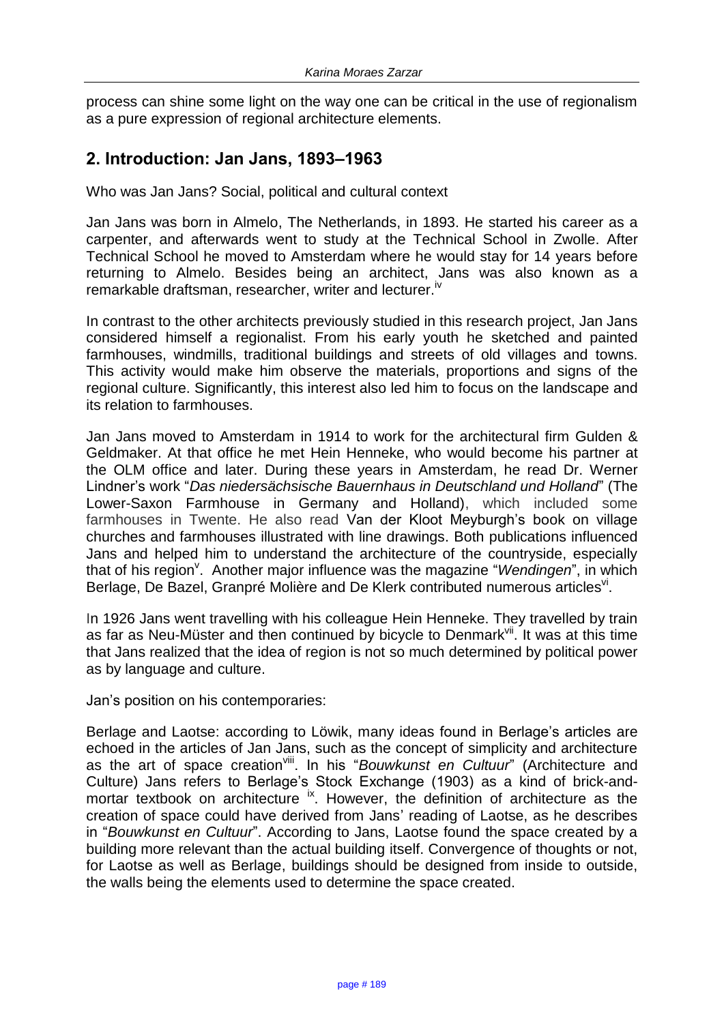process can shine some light on the way one can be critical in the use of regionalism as a pure expression of regional architecture elements.

# **2. Introduction: Jan Jans, 1893–1963**

Who was Jan Jans? Social, political and cultural context

Jan Jans was born in Almelo, The Netherlands, in 1893. He started his career as a carpenter, and afterwards went to study at the Technical School in Zwolle. After Technical School he moved to Amsterdam where he would stay for 14 years before returning to Almelo. Besides being an architect, Jans was also known as a remarkable draftsman, researcher, writer and lecturer.<sup>iv</sup>

In contrast to the other architects previously studied in this research project, Jan Jans considered himself a regionalist. From his early youth he sketched and painted farmhouses, windmills, traditional buildings and streets of old villages and towns. This activity would make him observe the materials, proportions and signs of the regional culture. Significantly, this interest also led him to focus on the landscape and its relation to farmhouses.

Jan Jans moved to Amsterdam in 1914 to work for the architectural firm Gulden & Geldmaker. At that office he met Hein Henneke, who would become his partner at the OLM office and later. During these years in Amsterdam, he read Dr. Werner Lindner's work "*Das niedersächsische Bauernhaus in Deutschland und Holland*" (The Lower-Saxon Farmhouse in Germany and Holland), which included some farmhouses in Twente. He also read Van der Kloot Meyburgh's book on village churches and farmhouses illustrated with line drawings. Both publications influenced Jans and helped him to understand the architecture of the countryside, especially that of his region<sup>v</sup>. Another major influence was the magazine "Wendingen", in which Berlage, De Bazel, Granpré Molière and De Klerk contributed numerous articles<sup>vi</sup>.

In 1926 Jans went travelling with his colleague Hein Henneke. They travelled by train as far as Neu-Müster and then continued by bicycle to Denmark<sup>vii</sup>. It was at this time that Jans realized that the idea of region is not so much determined by political power as by language and culture.

Jan's position on his contemporaries:

Berlage and Laotse: according to Löwik, many ideas found in Berlage's articles are echoed in the articles of Jan Jans, such as the concept of simplicity and architecture as the art of space creation<sup>viii</sup>. In his "Bouwkunst en Cultuur" (Architecture and Culture) Jans refers to Berlage's Stock Exchange (1903) as a kind of brick-andmortar textbook on architecture <sup>ix</sup>. However, the definition of architecture as the creation of space could have derived from Jans' reading of Laotse, as he describes in "*Bouwkunst en Cultuur*". According to Jans, Laotse found the space created by a building more relevant than the actual building itself. Convergence of thoughts or not, for Laotse as well as Berlage, buildings should be designed from inside to outside, the walls being the elements used to determine the space created.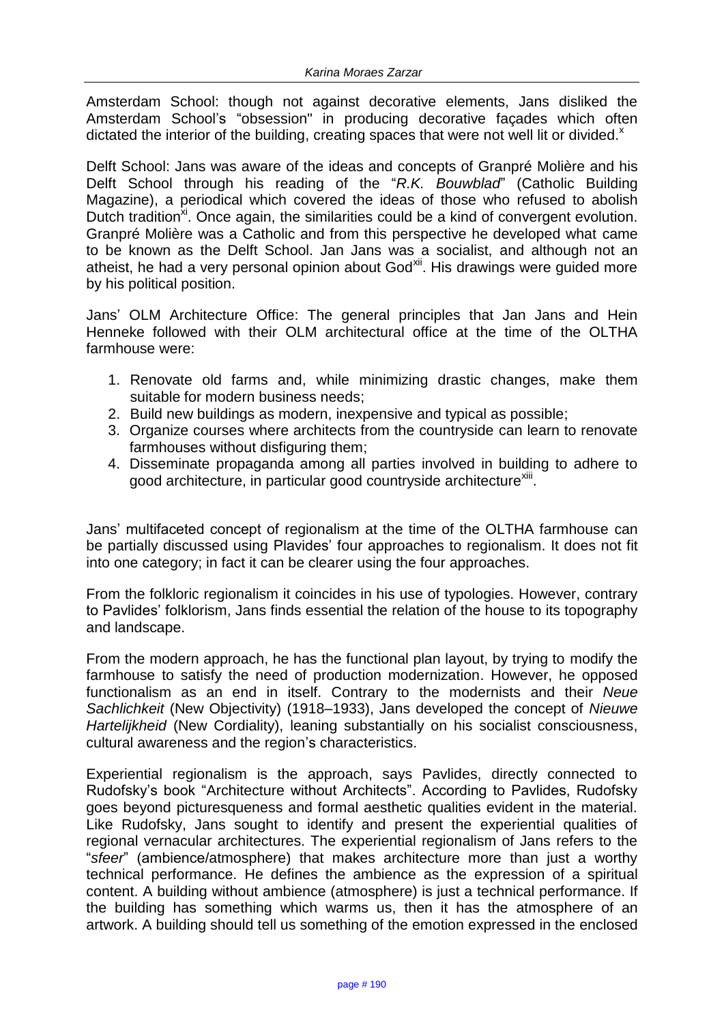Amsterdam School: though not against decorative elements, Jans disliked the Amsterdam School's "obsession" in producing decorative façades which often dictated the interior of the building, creating spaces that were not well lit or divided. $^{x}$ 

Delft School: Jans was aware of the ideas and concepts of Granpré Molière and his Delft School through his reading of the "*R.K. Bouwblad*" (Catholic Building Magazine), a periodical which covered the ideas of those who refused to abolish Dutch tradition<sup>xi</sup>. Once again, the similarities could be a kind of convergent evolution. Granpré Molière was a Catholic and from this perspective he developed what came to be known as the Delft School. Jan Jans was a socialist, and although not an atheist, he had a very personal opinion about God<sup>xii</sup>. His drawings were guided more by his political position.

Jans' OLM Architecture Office: The general principles that Jan Jans and Hein Henneke followed with their OLM architectural office at the time of the OLTHA farmhouse were:

- 1. Renovate old farms and, while minimizing drastic changes, make them suitable for modern business needs;
- 2. Build new buildings as modern, inexpensive and typical as possible;
- 3. Organize courses where architects from the countryside can learn to renovate farmhouses without disfiguring them;
- 4. Disseminate propaganda among all parties involved in building to adhere to good architecture, in particular good countryside architecture<sup>xiii</sup>.

Jans' multifaceted concept of regionalism at the time of the OLTHA farmhouse can be partially discussed using Plavides' four approaches to regionalism. It does not fit into one category; in fact it can be clearer using the four approaches.

From the folkloric regionalism it coincides in his use of typologies. However, contrary to Pavlides' folklorism, Jans finds essential the relation of the house to its topography and landscape.

From the modern approach, he has the functional plan layout, by trying to modify the farmhouse to satisfy the need of production modernization. However, he opposed functionalism as an end in itself. Contrary to the modernists and their *Neue Sachlichkeit* (New Objectivity) (1918–1933), Jans developed the concept of *Nieuwe Hartelijkheid* (New Cordiality), leaning substantially on his socialist consciousness, cultural awareness and the region's characteristics.

Experiential regionalism is the approach, says Pavlides, directly connected to Rudofsky's book "Architecture without Architects". According to Pavlides, Rudofsky goes beyond picturesqueness and formal aesthetic qualities evident in the material. Like Rudofsky, Jans sought to identify and present the experiential qualities of regional vernacular architectures. The experiential regionalism of Jans refers to the "*sfeer*" (ambience/atmosphere) that makes architecture more than just a worthy technical performance. He defines the ambience as the expression of a spiritual content. A building without ambience (atmosphere) is just a technical performance. If the building has something which warms us, then it has the atmosphere of an artwork. A building should tell us something of the emotion expressed in the enclosed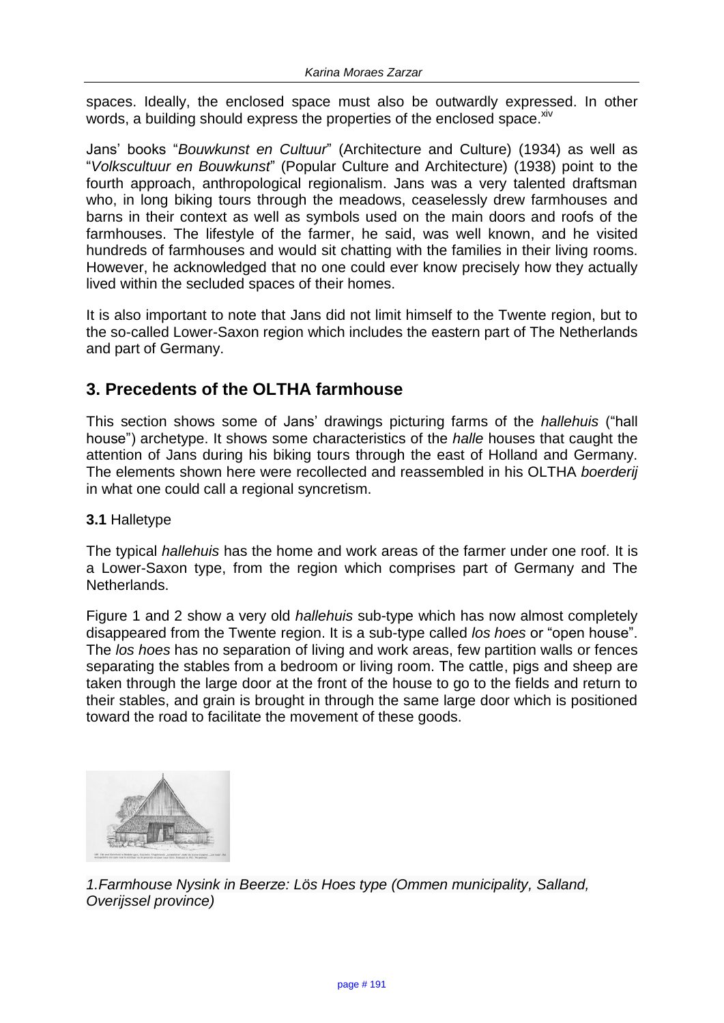spaces. Ideally, the enclosed space must also be outwardly expressed. In other words, a building should express the properties of the enclosed space. Xiv

Jans' books "*Bouwkunst en Cultuur*" (Architecture and Culture) (1934) as well as "*Volkscultuur en Bouwkunst*" (Popular Culture and Architecture) (1938) point to the fourth approach, anthropological regionalism. Jans was a very talented draftsman who, in long biking tours through the meadows, ceaselessly drew farmhouses and barns in their context as well as symbols used on the main doors and roofs of the farmhouses. The lifestyle of the farmer, he said, was well known, and he visited hundreds of farmhouses and would sit chatting with the families in their living rooms. However, he acknowledged that no one could ever know precisely how they actually lived within the secluded spaces of their homes.

It is also important to note that Jans did not limit himself to the Twente region, but to the so-called Lower-Saxon region which includes the eastern part of The Netherlands and part of Germany.

# **3. Precedents of the OLTHA farmhouse**

This section shows some of Jans' drawings picturing farms of the *hallehuis* ("hall house") archetype. It shows some characteristics of the *halle* houses that caught the attention of Jans during his biking tours through the east of Holland and Germany. The elements shown here were recollected and reassembled in his OLTHA *boerderij* in what one could call a regional syncretism.

## **3.1** Halletype

The typical *hallehuis* has the home and work areas of the farmer under one roof. It is a Lower-Saxon type, from the region which comprises part of Germany and The Netherlands.

Figure 1 and 2 show a very old *hallehuis* sub-type which has now almost completely disappeared from the Twente region. It is a sub-type called *los hoes* or "open house". The *los hoes* has no separation of living and work areas, few partition walls or fences separating the stables from a bedroom or living room. The cattle, pigs and sheep are taken through the large door at the front of the house to go to the fields and return to their stables, and grain is brought in through the same large door which is positioned toward the road to facilitate the movement of these goods.



*1.Farmhouse Nysink in Beerze: Lös Hoes type (Ommen municipality, Salland, Overijssel province)*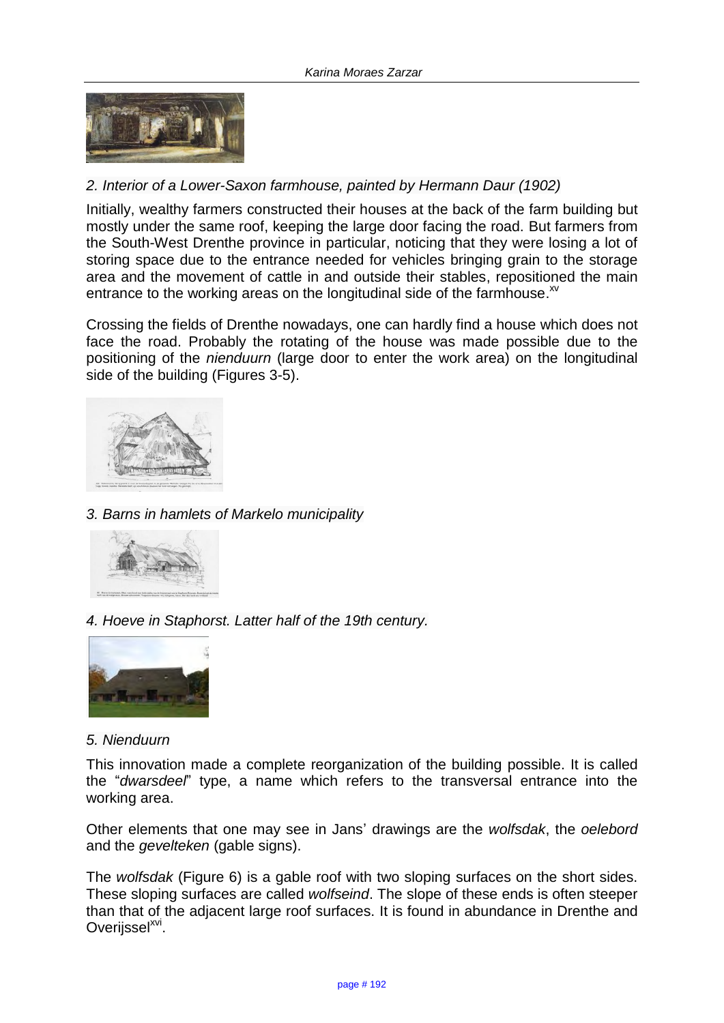

## *2. Interior of a Lower-Saxon farmhouse, painted by Hermann Daur (1902)*

Initially, wealthy farmers constructed their houses at the back of the farm building but mostly under the same roof, keeping the large door facing the road. But farmers from the South-West Drenthe province in particular, noticing that they were losing a lot of storing space due to the entrance needed for vehicles bringing grain to the storage area and the movement of cattle in and outside their stables, repositioned the main entrance to the working areas on the longitudinal side of the farmhouse. $^{x}$ 

Crossing the fields of Drenthe nowadays, one can hardly find a house which does not face the road. Probably the rotating of the house was made possible due to the positioning of the *nienduurn* (large door to enter the work area) on the longitudinal side of the building (Figures 3-5).



### *3. Barns in hamlets of Markelo municipality*



*4. Hoeve in Staphorst. Latter half of the 19th century.*



#### *5. Nienduurn*

This innovation made a complete reorganization of the building possible. It is called the "*dwarsdeel*" type, a name which refers to the transversal entrance into the working area.

Other elements that one may see in Jans' drawings are the *wolfsdak*, the *oelebord*  and the *gevelteken* (gable signs).

The *wolfsdak* (Figure 6) is a gable roof with two sloping surfaces on the short sides. These sloping surfaces are called *wolfseind*. The slope of these ends is often steeper than that of the adjacent large roof surfaces. It is found in abundance in Drenthe and Overijssel<sup>xvi</sup>.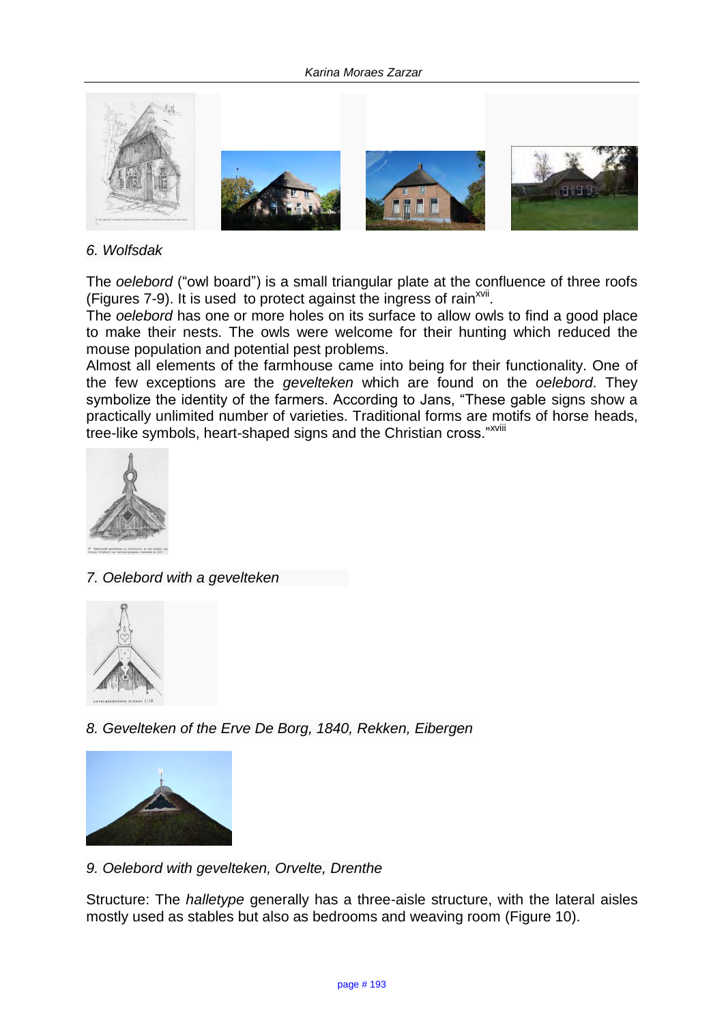

### *6. Wolfsdak*

The *oelebord* ("owl board") is a small triangular plate at the confluence of three roofs (Figures 7-9). It is used to protect against the ingress of rain<sup>xvii</sup>.

The *oelebord* has one or more holes on its surface to allow owls to find a good place to make their nests. The owls were welcome for their hunting which reduced the mouse population and potential pest problems.

Almost all elements of the farmhouse came into being for their functionality. One of the few exceptions are the *gevelteken* which are found on the *oelebord*. They symbolize the identity of the farmers. According to Jans, "These gable signs show a practically unlimited number of varieties. Traditional forms are motifs of horse heads, tree-like symbols, heart-shaped signs and the Christian cross."XVili



*7. Oelebord with a gevelteken* 



*8. Gevelteken of the Erve De Borg, 1840, Rekken, Eibergen*



*9. Oelebord with gevelteken, Orvelte, Drenthe*

Structure: The *halletype* generally has a three-aisle structure, with the lateral aisles mostly used as stables but also as bedrooms and weaving room (Figure 10).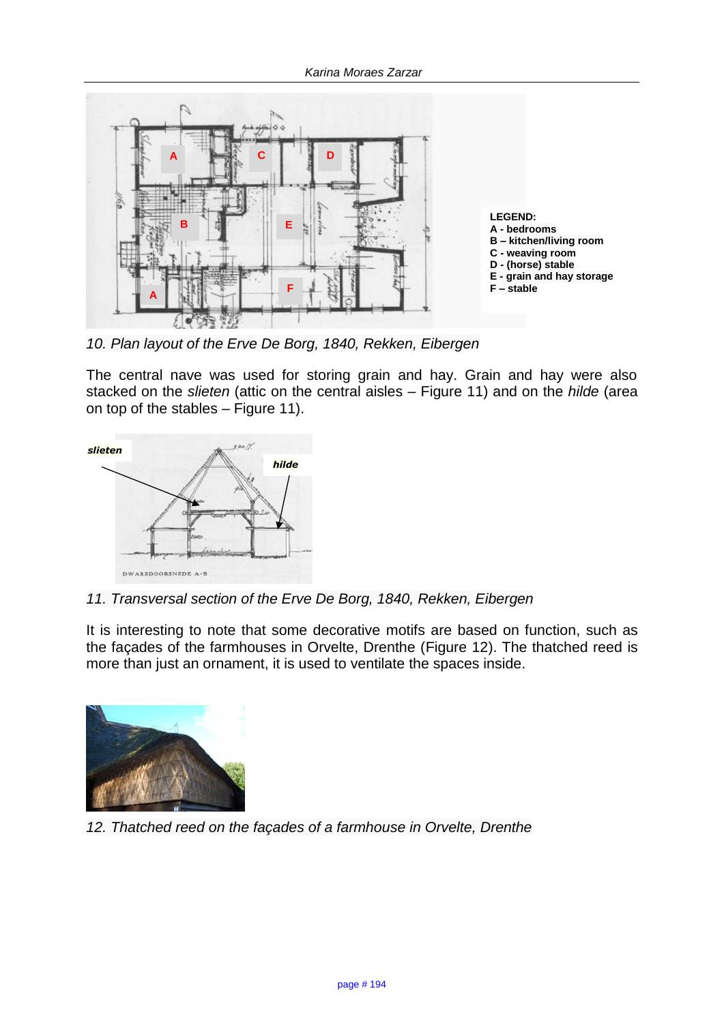

*10. Plan layout of the Erve De Borg, 1840, Rekken, Eibergen*

The central nave was used for storing grain and hay. Grain and hay were also stacked on the *slieten* (attic on the central aisles – Figure 11) and on the *hilde* (area on top of the stables – Figure 11).



*11. Transversal section of the Erve De Borg, 1840, Rekken, Eibergen* 

It is interesting to note that some decorative motifs are based on function, such as the façades of the farmhouses in Orvelte, Drenthe (Figure 12). The thatched reed is more than just an ornament, it is used to ventilate the spaces inside.



*12. Thatched reed on the façades of a farmhouse in Orvelte, Drenthe*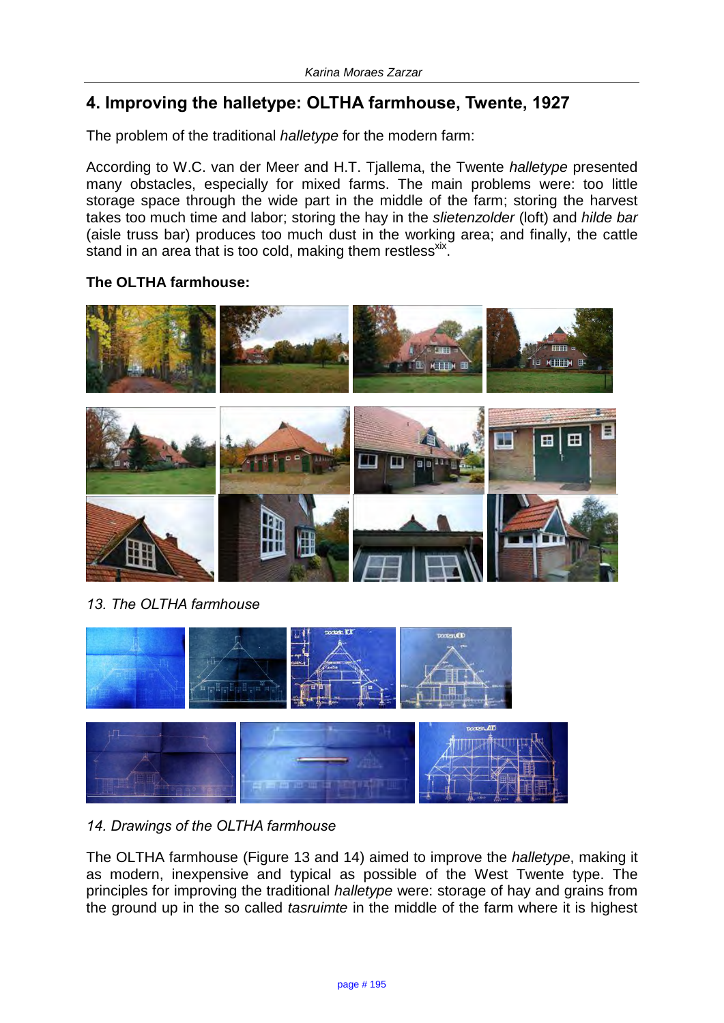# **4. Improving the halletype: OLTHA farmhouse, Twente, 1927**

The problem of the traditional *halletype* for the modern farm:

According to W.C. van der Meer and H.T. Tjallema, the Twente *halletype* presented many obstacles, especially for mixed farms. The main problems were: too little storage space through the wide part in the middle of the farm; storing the harvest takes too much time and labor; storing the hay in the *slietenzolder* (loft) and *hilde bar* (aisle truss bar) produces too much dust in the working area; and finally, the cattle stand in an area that is too cold, making them restless<sup>xix</sup>.

## **The OLTHA farmhouse:**



*13. The OLTHA farmhouse* 



## *14. Drawings of the OLTHA farmhouse*

The OLTHA farmhouse (Figure 13 and 14) aimed to improve the *halletype*, making it as modern, inexpensive and typical as possible of the West Twente type. The principles for improving the traditional *halletype* were: storage of hay and grains from the ground up in the so called *tasruimte* in the middle of the farm where it is highest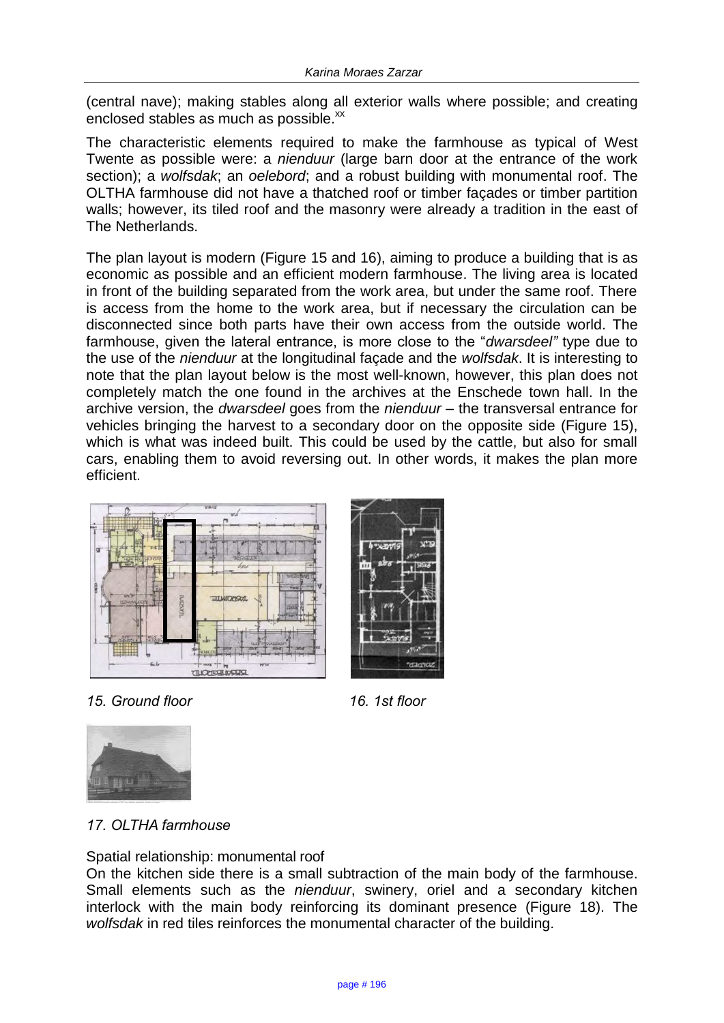(central nave); making stables along all exterior walls where possible; and creating enclosed stables as much as possible.<sup>xx</sup>

The characteristic elements required to make the farmhouse as typical of West Twente as possible were: a *nienduur* (large barn door at the entrance of the work section); a *wolfsdak*; an *oelebord*; and a robust building with monumental roof. The OLTHA farmhouse did not have a thatched roof or timber façades or timber partition walls; however, its tiled roof and the masonry were already a tradition in the east of The Netherlands.

The plan layout is modern (Figure 15 and 16), aiming to produce a building that is as economic as possible and an efficient modern farmhouse. The living area is located in front of the building separated from the work area, but under the same roof. There is access from the home to the work area, but if necessary the circulation can be disconnected since both parts have their own access from the outside world. The farmhouse, given the lateral entrance, is more close to the "*dwarsdeel"* type due to the use of the *nienduur* at the longitudinal façade and the *wolfsdak*. It is interesting to note that the plan layout below is the most well-known, however, this plan does not completely match the one found in the archives at the Enschede town hall. In the archive version, the *dwarsdeel* goes from the *nienduur* – the transversal entrance for vehicles bringing the harvest to a secondary door on the opposite side (Figure 15), which is what was indeed built. This could be used by the cattle, but also for small cars, enabling them to avoid reversing out. In other words, it makes the plan more efficient.



*15. Ground floor 16. 1st floor*



*17. OLTHA farmhouse*

## Spatial relationship: monumental roof

On the kitchen side there is a small subtraction of the main body of the farmhouse. Small elements such as the *nienduur*, swinery, oriel and a secondary kitchen interlock with the main body reinforcing its dominant presence (Figure 18). The *wolfsdak* in red tiles reinforces the monumental character of the building.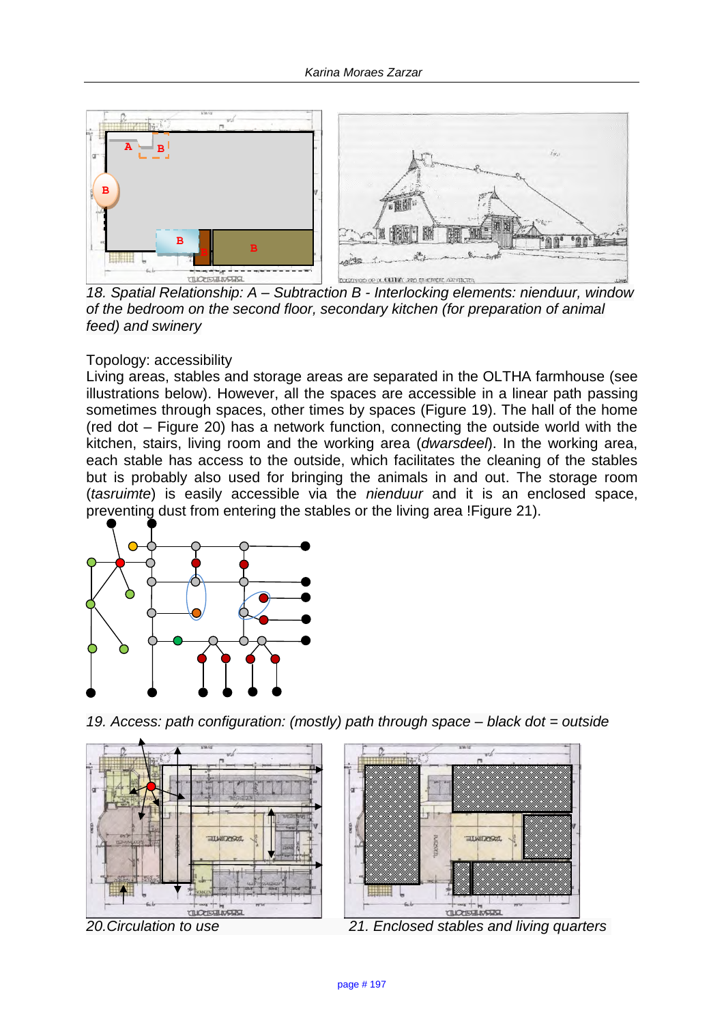

*18. Spatial Relationship: A – Subtraction B - Interlocking elements: nienduur, window of the bedroom on the second floor, secondary kitchen (for preparation of animal feed) and swinery* 

### Topology: accessibility

Living areas, stables and storage areas are separated in the OLTHA farmhouse (see illustrations below). However, all the spaces are accessible in a linear path passing sometimes through spaces, other times by spaces (Figure 19). The hall of the home (red dot – Figure 20) has a network function, connecting the outside world with the kitchen, stairs, living room and the working area (*dwarsdeel*). In the working area, each stable has access to the outside, which facilitates the cleaning of the stables but is probably also used for bringing the animals in and out. The storage room (*tasruimte*) is easily accessible via the *nienduur* and it is an enclosed space, preventing dust from entering the stables or the living area !Figure 21).



*19. Access: path configuration: (mostly) path through space – black dot = outside*



*20.Circulation to use 21. Enclosed stables and living quarters*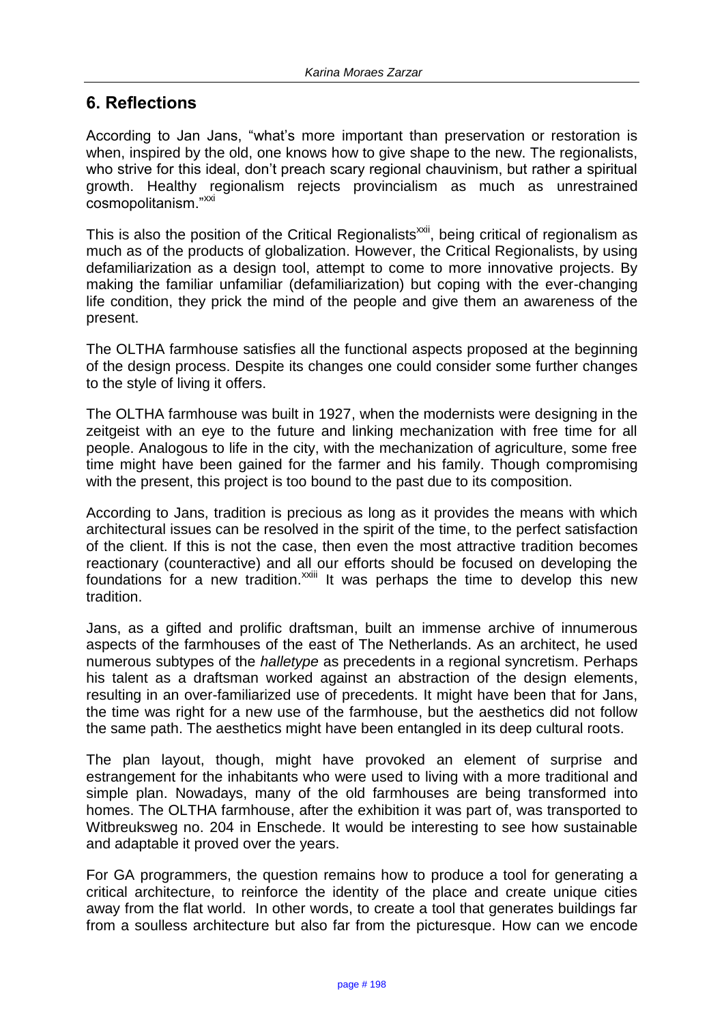# **6. Reflections**

According to Jan Jans, "what's more important than preservation or restoration is when, inspired by the old, one knows how to give shape to the new. The regionalists, who strive for this ideal, don't preach scary regional chauvinism, but rather a spiritual growth. Healthy regionalism rejects provincialism as much as unrestrained cosmopolitanism."XXI

This is also the position of the Critical Regionalists<sup>xxii</sup>, being critical of regionalism as much as of the products of globalization. However, the Critical Regionalists, by using defamiliarization as a design tool, attempt to come to more innovative projects. By making the familiar unfamiliar (defamiliarization) but coping with the ever-changing life condition, they prick the mind of the people and give them an awareness of the present.

The OLTHA farmhouse satisfies all the functional aspects proposed at the beginning of the design process. Despite its changes one could consider some further changes to the style of living it offers.

The OLTHA farmhouse was built in 1927, when the modernists were designing in the zeitgeist with an eye to the future and linking mechanization with free time for all people. Analogous to life in the city, with the mechanization of agriculture, some free time might have been gained for the farmer and his family. Though compromising with the present, this project is too bound to the past due to its composition.

According to Jans, tradition is precious as long as it provides the means with which architectural issues can be resolved in the spirit of the time, to the perfect satisfaction of the client. If this is not the case, then even the most attractive tradition becomes reactionary (counteractive) and all our efforts should be focused on developing the foundations for a new tradition.<sup>xxiii</sup> It was perhaps the time to develop this new tradition.

Jans, as a gifted and prolific draftsman, built an immense archive of innumerous aspects of the farmhouses of the east of The Netherlands. As an architect, he used numerous subtypes of the *halletype* as precedents in a regional syncretism. Perhaps his talent as a draftsman worked against an abstraction of the design elements, resulting in an over-familiarized use of precedents. It might have been that for Jans, the time was right for a new use of the farmhouse, but the aesthetics did not follow the same path. The aesthetics might have been entangled in its deep cultural roots.

The plan layout, though, might have provoked an element of surprise and estrangement for the inhabitants who were used to living with a more traditional and simple plan. Nowadays, many of the old farmhouses are being transformed into homes. The OLTHA farmhouse, after the exhibition it was part of, was transported to Witbreuksweg no. 204 in Enschede. It would be interesting to see how sustainable and adaptable it proved over the years.

For GA programmers, the question remains how to produce a tool for generating a critical architecture, to reinforce the identity of the place and create unique cities away from the flat world. In other words, to create a tool that generates buildings far from a soulless architecture but also far from the picturesque. How can we encode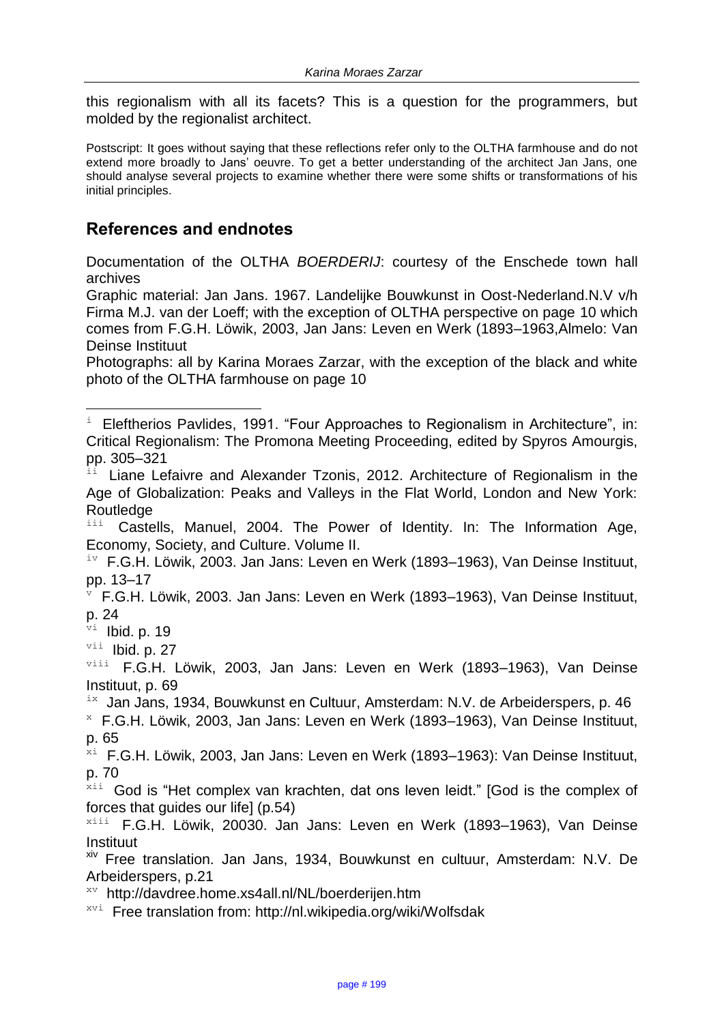this regionalism with all its facets? This is a question for the programmers, but molded by the regionalist architect.

Postscript: It goes without saying that these reflections refer only to the OLTHA farmhouse and do not extend more broadly to Jans' oeuvre. To get a better understanding of the architect Jan Jans, one should analyse several projects to examine whether there were some shifts or transformations of his initial principles.

# **References and endnotes**

Documentation of the OLTHA *BOERDERIJ*: courtesy of the Enschede town hall archives

Graphic material: Jan Jans. 1967. Landelijke Bouwkunst in Oost-Nederland.N.V v/h Firma M.J. van der Loeff; with the exception of OLTHA perspective on page 10 which comes from F.G.H. Löwik, 2003, Jan Jans: Leven en Werk (1893–1963,Almelo: Van Deinse Instituut

Photographs: all by Karina Moraes Zarzar, with the exception of the black and white photo of the OLTHA farmhouse on page 10

Castells, Manuel, 2004. The Power of Identity. In: The Information Age, Economy, Society, and Culture. Volume II.

<sup>v</sup> F.G.H. Löwik, 2003. Jan Jans: Leven en Werk (1893–1963), Van Deinse Instituut, p. 24

 $v_i$  Ibid. p. 19

ı.

 $vii$  Ibid. p. 27

 $i x$  Jan Jans, 1934, Bouwkunst en Cultuur, Amsterdam: N.V. de Arbeiderspers, p. 46

<sup>x</sup> F.G.H. Löwik, 2003, Jan Jans: Leven en Werk (1893–1963), Van Deinse Instituut, p. 65

 $x^{\text{th}}$  F.G.H. Löwik, 2003, Jan Jans: Leven en Werk (1893–1963): Van Deinse Instituut, p. 70

 $x_{i,i}$  God is "Het complex van krachten, dat ons leven leidt." [God is the complex of forces that guides our lifel (p.54)

xiii F.G.H. Löwik, 20030. Jan Jans: Leven en Werk (1893–1963), Van Deinse Instituut

xiv Free translation. Jan Jans, 1934, Bouwkunst en cultuur, Amsterdam: N.V. De Arbeiderspers, p.21

xv <http://davdree.home.xs4all.nl/NL/boerderijen.htm>

 $x_{\text{v}i}$  Free translation from:<http://nl.wikipedia.org/wiki/Wolfsdak>

Eleftherios Pavlides, 1991. "Four Approaches to Regionalism in Architecture", in: Critical Regionalism: The Promona Meeting Proceeding, edited by Spyros Amourgis, pp. 305–321

Liane Lefaivre and Alexander Tzonis, 2012. Architecture of Regionalism in the Age of Globalization: Peaks and Valleys in the Flat World, London and New York: Routledge<br>i<sup>ii</sup> Caste

 $i$ <sup>v</sup> F.G.H. Löwik, 2003. Jan Jans: Leven en Werk (1893–1963), Van Deinse Instituut, pp. 13–17

viii F.G.H. Löwik, 2003, Jan Jans: Leven en Werk (1893-1963), Van Deinse Instituut, p. 69